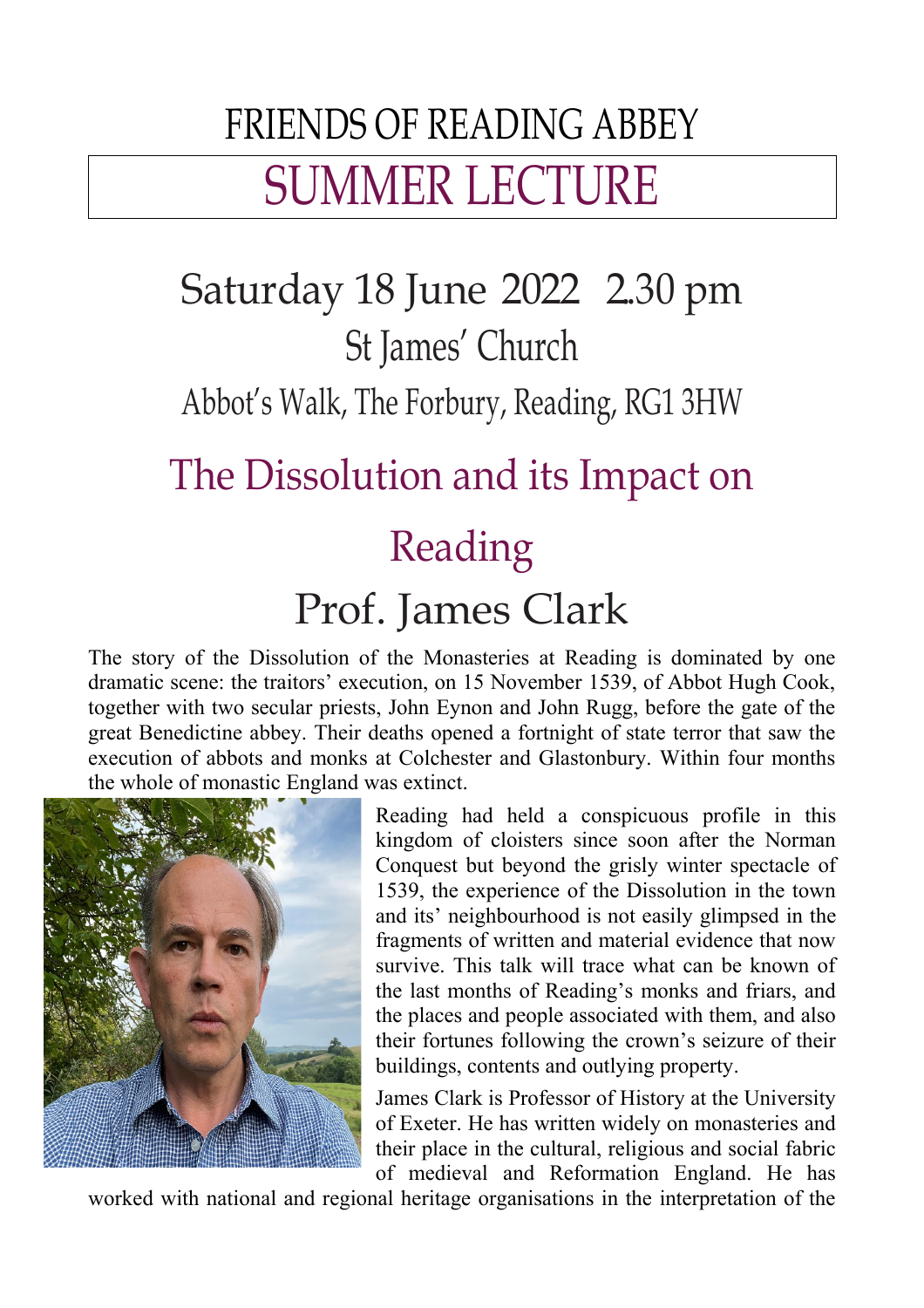# FRIENDS OF READING ABBEY SUMMER LECTURE

## Saturday 18 June 2022 2.30 pm St James' Church

Abbot's Walk, The Forbury, Reading, RG1 3HW

#### The Dissolution and its Impact on

## Reading

### Prof. James Clark

The story of the Dissolution of the Monasteries at Reading is dominated by one dramatic scene: the traitors' execution, on 15 November 1539, of Abbot Hugh Cook, together with two secular priests, John Eynon and John Rugg, before the gate of the great Benedictine abbey. Their deaths opened a fortnight of state terror that saw the execution of abbots and monks at Colchester and Glastonbury. Within four months the whole of monastic England was extinct.



Reading had held a conspicuous profile in this kingdom of cloisters since soon after the Norman Conquest but beyond the grisly winter spectacle of 1539, the experience of the Dissolution in the town and its' neighbourhood is not easily glimpsed in the fragments of written and material evidence that now survive. This talk will trace what can be known of the last months of Reading's monks and friars, and the places and people associated with them, and also their fortunes following the crown's seizure of their buildings, contents and outlying property.

James Clark is Professor of History at the University of Exeter. He has written widely on monasteries and their place in the cultural, religious and social fabric of medieval and Reformation England. He has

worked with national and regional heritage organisations in the interpretation of the